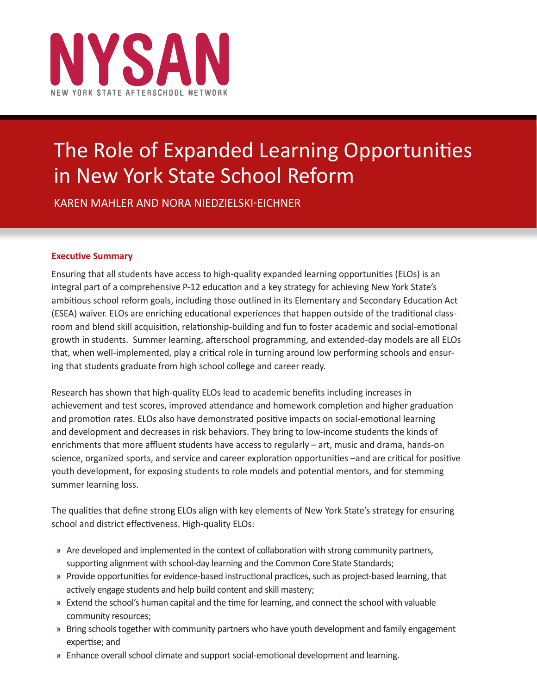

## The Role of Expanded Learning Opportunities in New York State School Reform

KAREN MAHLER AND NORA NIEDZIELSKI-EICHNER

## **Executive Summary**

Ensuring that all students have access to high-quality expanded learning opportunities (ELOs) is an integral part of a comprehensive P-12 education and a key strategy for achieving New York State's ambitious school reform goals, including those outlined in its Elementary and Secondary Education Act (ESEA) waiver. ELOs are enriching educational experiences that happen outside of the traditional classroom and blend skill acquisition, relationship-building and fun to foster academic and social-emotional growth in students. Summer learning, afterschool programming, and extended-day models are all ELOs that, when well-implemented, play a critical role in turning around low performing schools and ensuring that students graduate from high school college and career ready.

Research has shown that high-quality ELOs lead to academic benefits including increases in achievement and test scores, improved attendance and homework completion and higher graduation and promotion rates. ELOs also have demonstrated positive impacts on social-emotional learning and development and decreases in risk behaviors. They bring to low-income students the kinds of enrichments that more affluent students have access to regularly – art, music and drama, hands-on science, organized sports, and service and career exploration opportunities –and are critical for positive youth development, for exposing students to role models and potential mentors, and for stemming summer learning loss.

The qualities that define strong ELOs align with key elements of New York State's strategy for ensuring school and district effectiveness. High-quality ELOs:

- **»** Are developed and implemented in the context of collaboration with strong community partners, supporting alignment with school-day learning and the Common Core State Standards;
- **»** Provide opportunities for evidence-based instructional practices, such as project-based learning, that actively engage students and help build content and skill mastery;
- **»** Extend the school's human capital and the time for learning, and connect the school with valuable community resources;
- **»** Bring schools together with community partners who have youth development and family engagement expertise; and
- **»** Enhance overall school climate and support social-emotional development and learning.